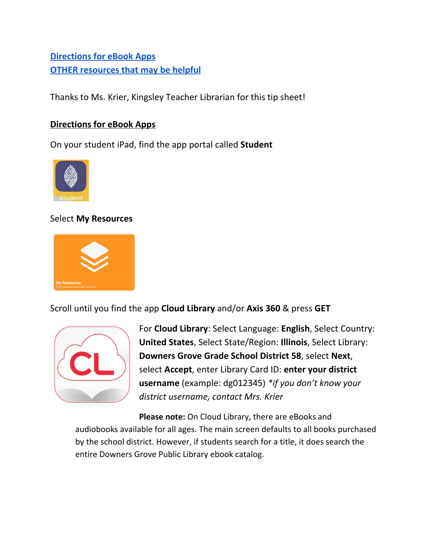# **[Directions](#page-0-0) for eBook Apps OTHER [resources](#page-2-0) that may be helpful**

Thanks to Ms. Krier, Kingsley Teacher Librarian for this tip sheet!

### <span id="page-0-0"></span>**Directions for eBook Apps**

On your student iPad, find the app portal called **Student**



### Select **My Resources**



### Scroll until you find the app **Cloud Library** and/or **Axis 360** & press **GET**



For **Cloud Library**: Select Language: **English**, Select Country: **United States**, Select State/Region: **Illinois**, Select Library: **Downers Grove Grade School District 58**, select **Next**, select **Accept**, enter Library Card ID: **enter your district username** (example: dg012345) *\*if you don't know your district username, contact Mrs. Krier*

**Please note:** On Cloud Library, there are eBooks and audiobooks available for all ages. The main screen defaults to all books purchased by the school district. However, if students search for a title, it does search the entire Downers Grove Public Library ebook catalog.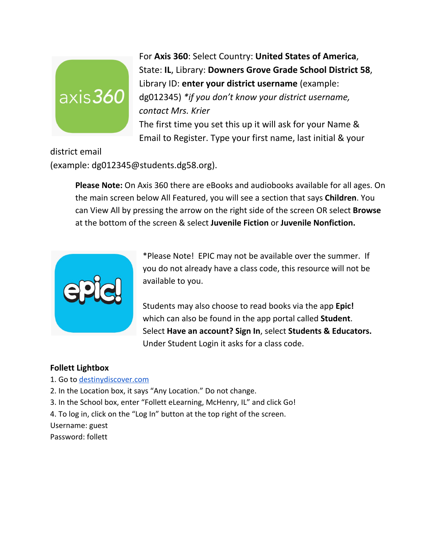

For **Axis 360**: Select Country: **United States of America**, State: **IL**, Library: **Downers Grove Grade School District 58**, Library ID: **enter your district username** (example: dg012345) *\*if you don't know your district username, contact Mrs. Krier* The first time you set this up it will ask for your Name &

Email to Register. Type your first name, last initial & your

district email

(example: dg012345@students.dg58.org).

**Please Note:** On Axis 360 there are eBooks and audiobooks available for all ages. On the main screen below All Featured, you will see a section that says **Children**. You can View All by pressing the arrow on the right side of the screen OR select **Browse** at the bottom of the screen & select **Juvenile Fiction** or **Juvenile Nonfiction.**



\*Please Note! EPIC may not be available over the summer. If you do not already have a class code, this resource will not be available to you.

Students may also choose to read books via the app **Epic!** which can also be found in the app portal called **Student**. Select **Have an account? Sign In**, select **Students & Educators.** Under Student Login it asks for a class code.

#### **Follett Lightbox**

- 1. Go to [destinydiscover.com](http://www.destinydiscover.com/)
- 2. In the Location box, it says "Any Location." Do not change.
- 3. In the School box, enter "Follett eLearning, McHenry, IL" and click Go!
- 4. To log in, click on the "Log In" button at the top right of the screen.

Username: guest

Password: follett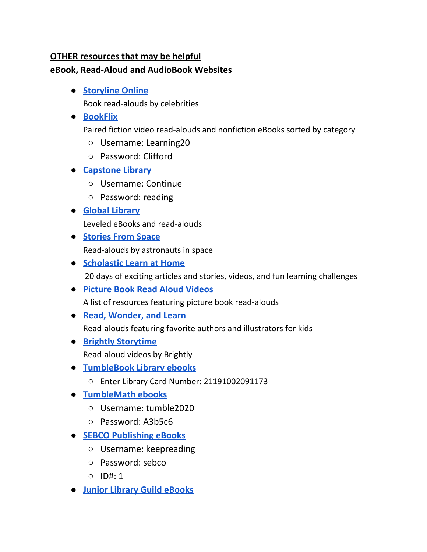## <span id="page-2-0"></span>**OTHER resources that may be helpful eBook, Read-Aloud and AudioBook Websites**

● **[Storyline](https://www.storylineonline.net/) Online**

Book read-alouds by celebrities

### **● [BookFlix](http://auth.grolier.com/login/bookflix//login.php?bffs=N)**

Paired fiction video read-alouds and nonfiction eBooks sorted by category

- Username: Learning20
- Password: Clifford
- **[Capstone](https://www.mycapstonelibrary.com/login/index.html) Library**
	- Username: Continue
	- Password: reading

### **● Global [Library](https://www.digitallibrary.io/)**

Leveled eBooks and read-alouds

- **[Stories](https://storytimefromspace.com/library/) From Space** Read-alouds by astronauts in space
- **● [Scholastic](https://classroommagazines.scholastic.com/support/learnathome.html) Learn at Home** 20 days of exciting articles and stories, videos, and fun learning challenges
- **● [Picture](https://pernillesripp.com/) Book Read Aloud Videos** A list of resources featuring picture book read-alouds
- **● Read, [Wonder,](https://www.katemessner.com/read-wonder-and-learn-favorite-authors-illustrators-share-resources-for-learning-anywhere-spring-2020/) and Learn** Read-alouds featuring favorite authors and illustrators for kids
- **● Brightly [Storytime](http://links.email.readbrightly.com/rts/go2.aspx?h=2015377&tp=i-1NGB-Q4E-TCy-20mmd4-1o-nxt0-1c-20n8UF-l4OSeZXlTT-20ISBb&x=4300F83679BD1811E0534FD66B0A1FFE)** Read-aloud videos by Brightly
- **● [TumbleBook](http://www.tumblebooklibrary.com/autologin.aspx?userid=EKYSN5nRcG762i%2bd3K4gsg%3d%3d) Library ebooks**
	- **○** Enter Library Card Number: 21191002091173
- **● [TumbleMath](https://www.tumblemath.com/autologin.aspx?U=tumble2020&P=A3b5c6) ebooks**
	- Username: tumble2020
	- Password: A3b5c6
- **● SEBCO [Publishing](http://r20.rs6.net/tn.jsp?f=001qhNhO9NOi1bbaTh83xvFx_0zDGwdLwLWWx4qDFGTkNI4mAc939GdR2zuZM5N-6NVafHAu8u5ETSMt6oy1C7aSuNqhSRoLH92lvlY1EsGw9SHmafc2kttECUoA0Xq1nJJ7VB1Jwr4mmoieRrkTamONwzZyLsLzRvqFZnD-TnTd6Js-oxR-Hcccn9LGOGy-TV3XX4yrpodmeUhB-_FvG0HodN4ARGx3Eoo&c=znBAkTYI3KoBBHf4SFkrkYNpw_Lt0DzdZrDPBOXpsFNbUBLvMI3pZQ==&ch=NziAtgum84AL3SOeNJy7et-WIPk7I6POGLBfya3b9s3DbAKtGTZt5A==) eBooks**
	- Username: keepreading
	- Password: sebco
	- ID#: 1
- **● Junior Library Guild [eBooks](https://www.juniorlibraryguild.com/at-home)**